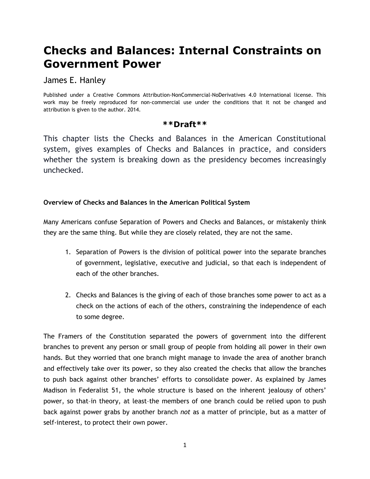# **Checks and Balances: Internal Constraints on Government Power**

James E. Hanley

Published under a Creative Commons Attribution-NonCommercial-NoDerivatives 4.0 International license. This work may be freely reproduced for non-commercial use under the conditions that it not be changed and attribution is given to the author. 2014.

### **\*\*Draft\*\***

This chapter lists the Checks and Balances in the American Constitutional system, gives examples of Checks and Balances in practice, and considers whether the system is breaking down as the presidency becomes increasingly unchecked.

### **Overview of Checks and Balances in the American Political System**

Many Americans confuse Separation of Powers and Checks and Balances, or mistakenly think they are the same thing. But while they are closely related, they are not the same.

- 1. Separation of Powers is the division of political power into the separate branches of government, legislative, executive and judicial, so that each is independent of each of the other branches.
- 2. Checks and Balances is the giving of each of those branches some power to act as a check on the actions of each of the others, constraining the independence of each to some degree.

The Framers of the Constitution separated the powers of government into the different branches to prevent any person or small group of people from holding all power in their own hands. But they worried that one branch might manage to invade the area of another branch and effectively take over its power, so they also created the checks that allow the branches to push back against other branches' efforts to consolidate power. As explained by James Madison in Federalist 51, the whole structure is based on the inherent jealousy of others' power, so that–in theory, at least–the members of one branch could be relied upon to push back against power grabs by another branch *not* as a matter of principle, but as a matter of self-interest, to protect their own power.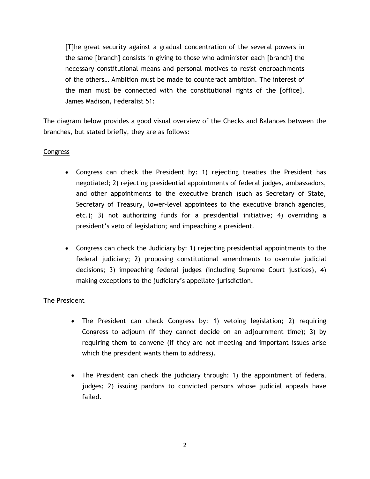[T]he great security against a gradual concentration of the several powers in the same [branch] consists in giving to those who administer each [branch] the necessary constitutional means and personal motives to resist encroachments of the others… Ambition must be made to counteract ambition. The interest of the man must be connected with the constitutional rights of the [office]. James Madison, Federalist 51:

The diagram below provides a good visual overview of the Checks and Balances between the branches, but stated briefly, they are as follows:

### **Congress**

- Congress can check the President by: 1) rejecting treaties the President has negotiated; 2) rejecting presidential appointments of federal judges, ambassadors, and other appointments to the executive branch (such as Secretary of State, Secretary of Treasury, lower-level appointees to the executive branch agencies, etc.); 3) not authorizing funds for a presidential initiative; 4) overriding a president's veto of legislation; and impeaching a president.
- Congress can check the Judiciary by: 1) rejecting presidential appointments to the federal judiciary; 2) proposing constitutional amendments to overrule judicial decisions; 3) impeaching federal judges (including Supreme Court justices), 4) making exceptions to the judiciary's appellate jurisdiction.

### The President

- The President can check Congress by: 1) vetoing legislation; 2) requiring Congress to adjourn (if they cannot decide on an adjournment time); 3) by requiring them to convene (if they are not meeting and important issues arise which the president wants them to address).
- The President can check the judiciary through: 1) the appointment of federal judges; 2) issuing pardons to convicted persons whose judicial appeals have failed.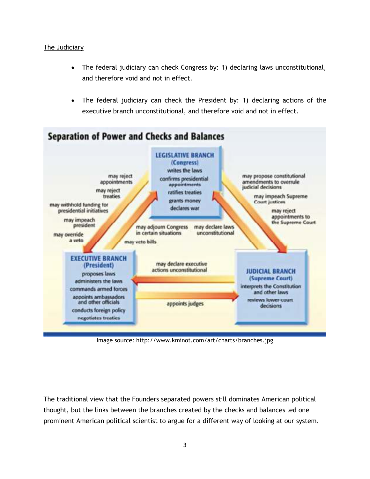### The Judiciary

- The federal judiciary can check Congress by: 1) declaring laws unconstitutional, and therefore void and not in effect.
- The federal judiciary can check the President by: 1) declaring actions of the executive branch unconstitutional, and therefore void and not in effect.



Image source: http://www.kminot.com/art/charts/branches.jpg

The traditional view that the Founders separated powers still dominates American political thought, but the links between the branches created by the checks and balances led one prominent American political scientist to argue for a different way of looking at our system.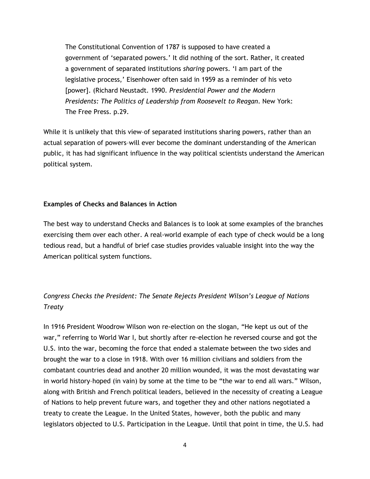The Constitutional Convention of 1787 is supposed to have created a government of 'separated powers.' It did nothing of the sort. Rather, it created a government of separated institutions *sharing* powers. 'I am part of the legislative process,' Eisenhower often said in 1959 as a reminder of his veto [power]. (Richard Neustadt. 1990. *Presidential Power and the Modern Presidents: The Politics of Leadership from Roosevelt to Reagan*. New York: The Free Press. p.29.

While it is unlikely that this view-of separated institutions sharing powers, rather than an actual separation of powers–will ever become the dominant understanding of the American public, it has had significant influence in the way political scientists understand the American political system.

#### **Examples of Checks and Balances in Action**

The best way to understand Checks and Balances is to look at some examples of the branches exercising them over each other. A real-world example of each type of check would be a long tedious read, but a handful of brief case studies provides valuable insight into the way the American political system functions.

# *Congress Checks the President: The Senate Rejects President Wilson's League of Nations Treaty*

In 1916 President Woodrow Wilson won re-election on the slogan, "He kept us out of the war," referring to World War I, but shortly after re-election he reversed course and got the U.S. into the war, becoming the force that ended a stalemate between the two sides and brought the war to a close in 1918. With over 16 million civilians and soldiers from the combatant countries dead and another 20 million wounded, it was the most devastating war in world history–hoped (in vain) by some at the time to be "the war to end all wars." Wilson, along with British and French political leaders, believed in the necessity of creating a League of Nations to help prevent future wars, and together they and other nations negotiated a treaty to create the League. In the United States, however, both the public and many legislators objected to U.S. Participation in the League. Until that point in time, the U.S. had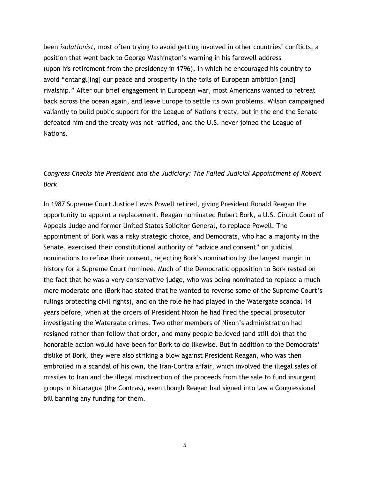been *isolationist*, most often trying to avoid getting involved in other countries' conflicts, a position that went back to George Washington's warning in his farewell address (upon his retirement from the presidency in 1796), in which he encouraged his country to avoid "entangl[ing] our peace and prosperity in the toils of European ambition [and] rivalship." After our brief engagement in European war, most Americans wanted to retreat back across the ocean again, and leave Europe to settle its own problems. Wilson campaigned valiantly to build public support for the League of Nations treaty, but in the end the Senate defeated him and the treaty was not ratified, and the U.S. never joined the League of Nations.

# *Congress Checks the President and the Judiciary: The Failed Judicial Appointment of Robert Bork*

In 1987 Supreme Court Justice Lewis Powell retired, giving President Ronald Reagan the opportunity to appoint a replacement. Reagan nominated Robert Bork, a U.S. Circuit Court of Appeals Judge and former United States Solicitor General, to replace Powell. The appointment of Bork was a risky strategic choice, and Democrats, who had a majority in the Senate, exercised their constitutional authority of "advice and consent" on judicial nominations to refuse their consent, rejecting Bork's nomination by the largest margin in history for a Supreme Court nominee. Much of the Democratic opposition to Bork rested on the fact that he was a very conservative judge, who was being nominated to replace a much more moderate one (Bork had stated that he wanted to reverse some of the Supreme Court's rulings protecting civil rights), and on the role he had played in the Watergate scandal 14 years before, when at the orders of President Nixon he had fired the special prosecutor investigating the Watergate crimes. Two other members of Nixon's administration had resigned rather than follow that order, and many people believed (and still do) that the honorable action would have been for Bork to do likewise. But in addition to the Democrats' dislike of Bork, they were also striking a blow against President Reagan, who was then embroiled in a scandal of his own, the Iran-Contra affair, which involved the illegal sales of missiles to Iran and the illegal misdirection of the proceeds from the sale to fund insurgent groups in Nicaragua (the Contras), even though Reagan had signed into law a Congressional bill banning any funding for them.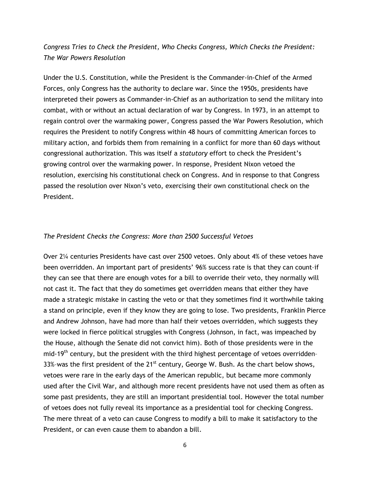## *Congress Tries to Check the President, Who Checks Congress, Which Checks the President: The War Powers Resolution*

Under the U.S. Constitution, while the President is the Commander-in-Chief of the Armed Forces, only Congress has the authority to declare war. Since the 1950s, presidents have interpreted their powers as Commander-in-Chief as an authorization to send the military into combat, with or without an actual declaration of war by Congress. In 1973, in an attempt to regain control over the warmaking power, Congress passed the War Powers Resolution, which requires the President to notify Congress within 48 hours of committing American forces to military action, and forbids them from remaining in a conflict for more than 60 days without congressional authorization. This was itself a *statutory* effort to check the President's growing control over the warmaking power. In response, President Nixon vetoed the resolution, exercising his constitutional check on Congress. And in response to that Congress passed the resolution over Nixon's veto, exercising their own constitutional check on the President.

#### *The President Checks the Congress: More than 2500 Successful Vetoes*

Over 2¼ centuries Presidents have cast over 2500 vetoes. Only about 4% of these vetoes have been overridden. An important part of presidents' 96% success rate is that they can count–if they can see that there are enough votes for a bill to override their veto, they normally will not cast it. The fact that they do sometimes get overridden means that either they have made a strategic mistake in casting the veto or that they sometimes find it worthwhile taking a stand on principle, even if they know they are going to lose. Two presidents, Franklin Pierce and Andrew Johnson, have had more than half their vetoes overridden, which suggests they were locked in fierce political struggles with Congress (Johnson, in fact, was impeached by the House, although the Senate did not convict him). Both of those presidents were in the mid-19<sup>th</sup> century, but the president with the third highest percentage of vetoes overridden-33%-was the first president of the  $21^{st}$  century, George W. Bush. As the chart below shows, vetoes were rare in the early days of the American republic, but became more commonly used after the Civil War, and although more recent presidents have not used them as often as some past presidents, they are still an important presidential tool. However the total number of vetoes does not fully reveal its importance as a presidential tool for checking Congress. The mere threat of a veto can cause Congress to modify a bill to make it satisfactory to the President, or can even cause them to abandon a bill.

6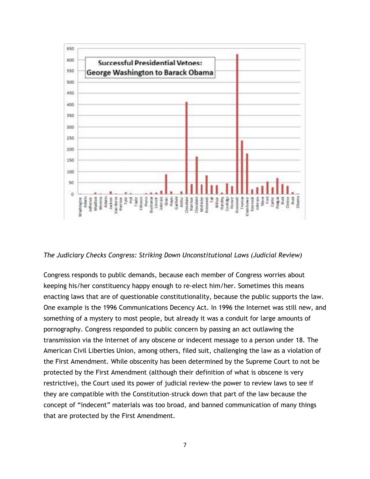

#### *The Judiciary Checks Congress: Striking Down Unconstitutional Laws (Judicial Review)*

Congress responds to public demands, because each member of Congress worries about keeping his/her constituency happy enough to re-elect him/her. Sometimes this means enacting laws that are of questionable constitutionality, because the public supports the law. One example is the 1996 Communications Decency Act. In 1996 the Internet was still new, and something of a mystery to most people, but already it was a conduit for large amounts of pornography. Congress responded to public concern by passing an act outlawing the transmission via the Internet of any obscene or indecent message to a person under 18. The American Civil Liberties Union, among others, filed suit, challenging the law as a violation of the First Amendment. While obscenity has been determined by the Supreme Court to not be protected by the First Amendment (although their definition of what is obscene is very restrictive), the Court used its power of judicial review–the power to review laws to see if they are compatible with the Constitution–struck down that part of the law because the concept of "indecent" materials was too broad, and banned communication of many things that are protected by the First Amendment.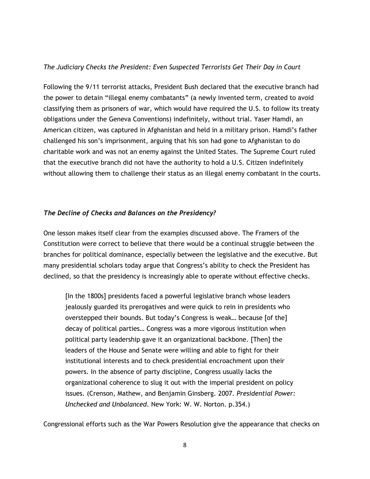### *The Judiciary Checks the President: Even Suspected Terrorists Get Their Day in Court*

Following the 9/11 terrorist attacks, President Bush declared that the executive branch had the power to detain "illegal enemy combatants" (a newly invented term, created to avoid classifying them as prisoners of war, which would have required the U.S. to follow its treaty obligations under the Geneva Conventions) indefinitely, without trial. Yaser Hamdi, an American citizen, was captured in Afghanistan and held in a military prison. Hamdi's father challenged his son's imprisonment, arguing that his son had gone to Afghanistan to do charitable work and was not an enemy against the United States. The Supreme Court ruled that the executive branch did not have the authority to hold a U.S. Citizen indefinitely without allowing them to challenge their status as an illegal enemy combatant in the courts.

### *The Decline of Checks and Balances on the Presidency?*

One lesson makes itself clear from the examples discussed above. The Framers of the Constitution were correct to believe that there would be a continual struggle between the branches for political dominance, especially between the legislative and the executive. But many presidential scholars today argue that Congress's ability to check the President has declined, so that the presidency is increasingly able to operate without effective checks.

[In the 1800s] presidents faced a powerful legislative branch whose leaders jealously guarded its prerogatives and were quick to rein in presidents who overstepped their bounds. But today's Congress is weak… because [of the] decay of political parties… Congress was a more vigorous institution when political party leadership gave it an organizational backbone. [Then] the leaders of the House and Senate were willing and able to fight for their institutional interests and to check presidential encroachment upon their powers. In the absence of party discipline, Congress usually lacks the organizational coherence to slug it out with the imperial president on policy issues. (Crenson, Mathew, and Benjamin Ginsberg. 2007. *Presidential Power: Unchecked and Unbalanced*. New York: W. W. Norton. p.354.)

Congressional efforts such as the War Powers Resolution give the appearance that checks on